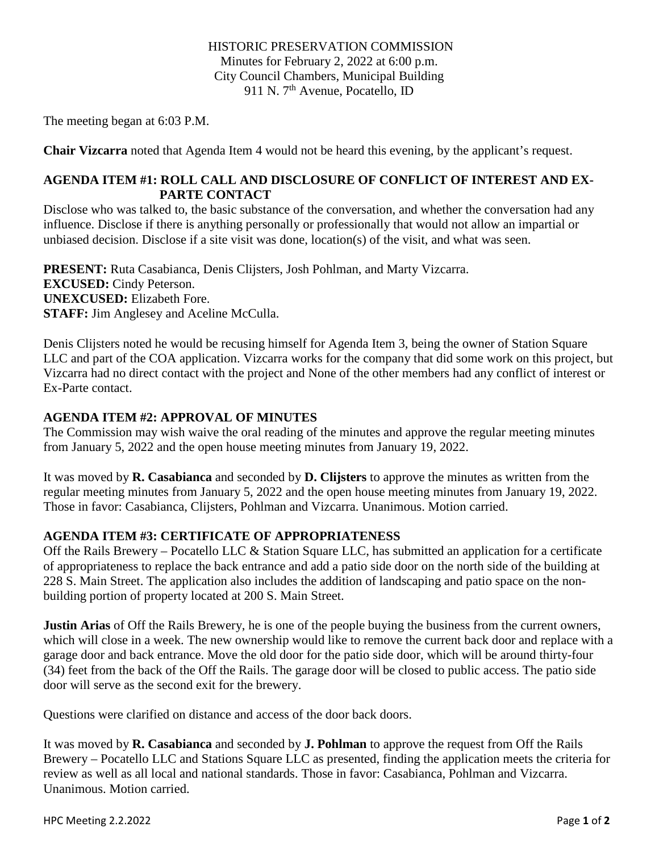HISTORIC PRESERVATION COMMISSION Minutes for February 2, 2022 at 6:00 p.m. City Council Chambers, Municipal Building 911 N. 7<sup>th</sup> Avenue, Pocatello, ID

The meeting began at 6:03 P.M.

**Chair Vizcarra** noted that Agenda Item 4 would not be heard this evening, by the applicant's request.

## **AGENDA ITEM #1: ROLL CALL AND DISCLOSURE OF CONFLICT OF INTEREST AND EX-PARTE CONTACT**

Disclose who was talked to, the basic substance of the conversation, and whether the conversation had any influence. Disclose if there is anything personally or professionally that would not allow an impartial or unbiased decision. Disclose if a site visit was done, location(s) of the visit, and what was seen.

**PRESENT:** Ruta Casabianca, Denis Clijsters, Josh Pohlman, and Marty Vizcarra. **EXCUSED:** Cindy Peterson. **UNEXCUSED:** Elizabeth Fore. **STAFF:** Jim Anglesey and Aceline McCulla.

Denis Clijsters noted he would be recusing himself for Agenda Item 3, being the owner of Station Square LLC and part of the COA application. Vizcarra works for the company that did some work on this project, but Vizcarra had no direct contact with the project and None of the other members had any conflict of interest or Ex-Parte contact.

# **AGENDA ITEM #2: APPROVAL OF MINUTES**

The Commission may wish waive the oral reading of the minutes and approve the regular meeting minutes from January 5, 2022 and the open house meeting minutes from January 19, 2022.

It was moved by **R. Casabianca** and seconded by **D. Clijsters** to approve the minutes as written from the regular meeting minutes from January 5, 2022 and the open house meeting minutes from January 19, 2022. Those in favor: Casabianca, Clijsters, Pohlman and Vizcarra. Unanimous. Motion carried.

## **AGENDA ITEM #3: CERTIFICATE OF APPROPRIATENESS**

Off the Rails Brewery – Pocatello LLC & Station Square LLC, has submitted an application for a certificate of appropriateness to replace the back entrance and add a patio side door on the north side of the building at 228 S. Main Street. The application also includes the addition of landscaping and patio space on the nonbuilding portion of property located at 200 S. Main Street.

**Justin Arias** of Off the Rails Brewery, he is one of the people buying the business from the current owners, which will close in a week. The new ownership would like to remove the current back door and replace with a garage door and back entrance. Move the old door for the patio side door, which will be around thirty-four (34) feet from the back of the Off the Rails. The garage door will be closed to public access. The patio side door will serve as the second exit for the brewery.

Questions were clarified on distance and access of the door back doors.

It was moved by **R. Casabianca** and seconded by **J. Pohlman** to approve the request from Off the Rails Brewery – Pocatello LLC and Stations Square LLC as presented, finding the application meets the criteria for review as well as all local and national standards. Those in favor: Casabianca, Pohlman and Vizcarra. Unanimous. Motion carried.